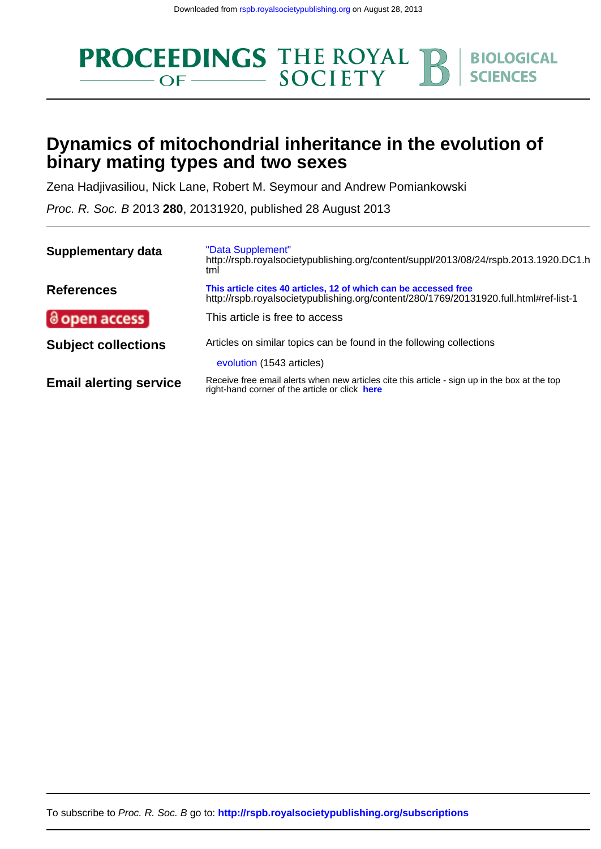## **PROCEEDINGS** THE ROYAL **BIOLOGICAL SCIENCES**

## **binary mating types and two sexes Dynamics of mitochondrial inheritance in the evolution of**

Zena Hadjivasiliou, Nick Lane, Robert M. Seymour and Andrew Pomiankowski

Proc. R. Soc. B 2013 **280**, 20131920, published 28 August 2013

| <b>Supplementary data</b>     | "Data Supplement"<br>http://rspb.royalsocietypublishing.org/content/suppl/2013/08/24/rspb.2013.1920.DC1.h<br>tml                                          |
|-------------------------------|-----------------------------------------------------------------------------------------------------------------------------------------------------------|
| <b>References</b>             | This article cites 40 articles, 12 of which can be accessed free<br>http://rspb.royalsocietypublishing.org/content/280/1769/20131920.full.html#ref-list-1 |
| @ open access                 | This article is free to access                                                                                                                            |
| <b>Subject collections</b>    | Articles on similar topics can be found in the following collections<br>evolution (1543 articles)                                                         |
| <b>Email alerting service</b> | Receive free email alerts when new articles cite this article - sign up in the box at the top<br>right-hand corner of the article or click here           |

To subscribe to Proc. R. Soc. B go to: **<http://rspb.royalsocietypublishing.org/subscriptions>**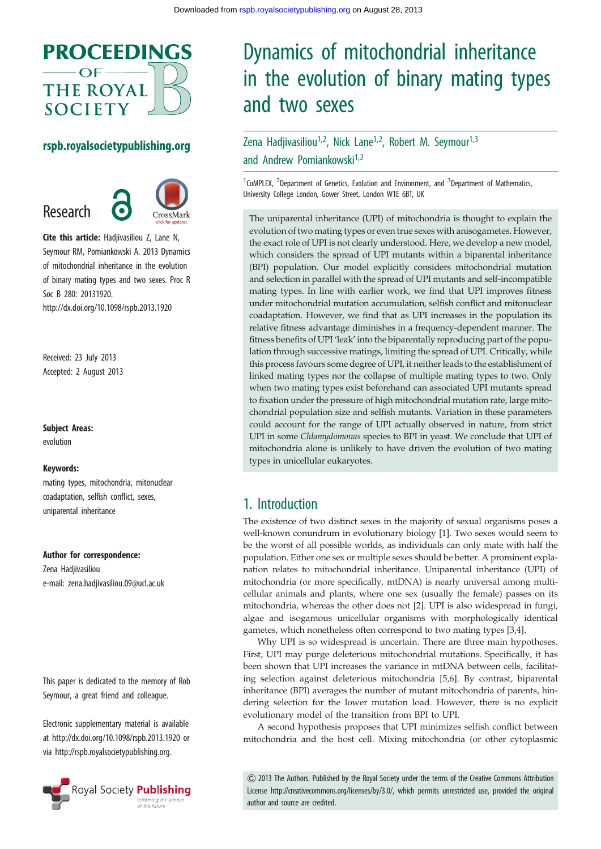

#### rspb.royalsocietypublishing.org

Research



Cite this article: Hadjivasiliou Z, Lane N, Seymour RM, Pomiankowski A. 2013 Dynamics of mitochondrial inheritance in the evolution of binary mating types and two sexes. Proc R Soc B 280: 20131920. http://dx.doi.org/10.1098/rspb.2013.1920

Received: 23 July 2013 Accepted: 2 August 2013

#### Subject Areas:

evolution

#### Keywords:

mating types, mitochondria, mitonuclear coadaptation, selfish conflict, sexes, uniparental inheritance

#### Author for correspondence:

Zena Hadiivasiliou e-mail: [zena.hadjivasiliou.09@ucl.ac.uk](mailto:zena.hadjivasiliou.09@ucl.ac.uk)

This paper is dedicated to the memory of Rob Seymour, a great friend and colleague.

Electronic supplementary material is available at<http://dx.doi.org/10.1098/rspb.2013.1920> or via<http://rspb.royalsocietypublishing.org>.



# Dynamics of mitochondrial inheritance in the evolution of binary mating types and two sexes

## Zena Hadjivasiliou<sup>1,2</sup>, Nick Lane<sup>1,2</sup>, Robert M. Seymour<sup>1,3</sup> and Andrew Pomiankowski<sup>1,2</sup>

<sup>1</sup>CoMPLEX, <sup>2</sup>Department of Genetics, Evolution and Environment, and <sup>3</sup>Department of Mathematics, University College London, Gower Street, London W1E 6BT, UK

The uniparental inheritance (UPI) of mitochondria is thought to explain the evolution of two mating types or even true sexes with anisogametes. However, the exact role of UPI is not clearly understood. Here, we develop a new model, which considers the spread of UPI mutants within a biparental inheritance (BPI) population. Our model explicitly considers mitochondrial mutation and selection in parallel with the spread of UPI mutants and self-incompatible mating types. In line with earlier work, we find that UPI improves fitness under mitochondrial mutation accumulation, selfish conflict and mitonuclear coadaptation. However, we find that as UPI increases in the population its relative fitness advantage diminishes in a frequency-dependent manner. The fitness benefits of UPI 'leak' into the biparentally reproducing part of the population through successive matings, limiting the spread of UPI. Critically, while this process favours some degree of UPI, it neither leads to the establishment of linked mating types nor the collapse of multiple mating types to two. Only when two mating types exist beforehand can associated UPI mutants spread to fixation under the pressure of high mitochondrial mutation rate, large mitochondrial population size and selfish mutants. Variation in these parameters could account for the range of UPI actually observed in nature, from strict UPI in some Chlamydomonas species to BPI in yeast. We conclude that UPI of mitochondria alone is unlikely to have driven the evolution of two mating types in unicellular eukaryotes.

## 1. Introduction

The existence of two distinct sexes in the majority of sexual organisms poses a well-known conundrum in evolutionary biology [[1](#page-7-0)]. Two sexes would seem to be the worst of all possible worlds, as individuals can only mate with half the population. Either one sex or multiple sexes should be better. A prominent explanation relates to mitochondrial inheritance. Uniparental inheritance (UPI) of mitochondria (or more specifically, mtDNA) is nearly universal among multicellular animals and plants, where one sex (usually the female) passes on its mitochondria, whereas the other does not [\[2](#page-7-0)]. UPI is also widespread in fungi, algae and isogamous unicellular organisms with morphologically identical gametes, which nonetheless often correspond to two mating types [\[3,4](#page-7-0)].

Why UPI is so widespread is uncertain. There are three main hypotheses. First, UPI may purge deleterious mitochondrial mutations. Specifically, it has been shown that UPI increases the variance in mtDNA between cells, facilitating selection against deleterious mitochondria [[5,6\]](#page-7-0). By contrast, biparental inheritance (BPI) averages the number of mutant mitochondria of parents, hindering selection for the lower mutation load. However, there is no explicit evolutionary model of the transition from BPI to UPI.

A second hypothesis proposes that UPI minimizes selfish conflict between mitochondria and the host cell. Mixing mitochondria (or other cytoplasmic

& 2013 The Authors. Published by the Royal Society under the terms of the Creative Commons Attribution License http://creativecommons.org/licenses/by/3.0/, which permits unrestricted use, provided the original author and source are credited.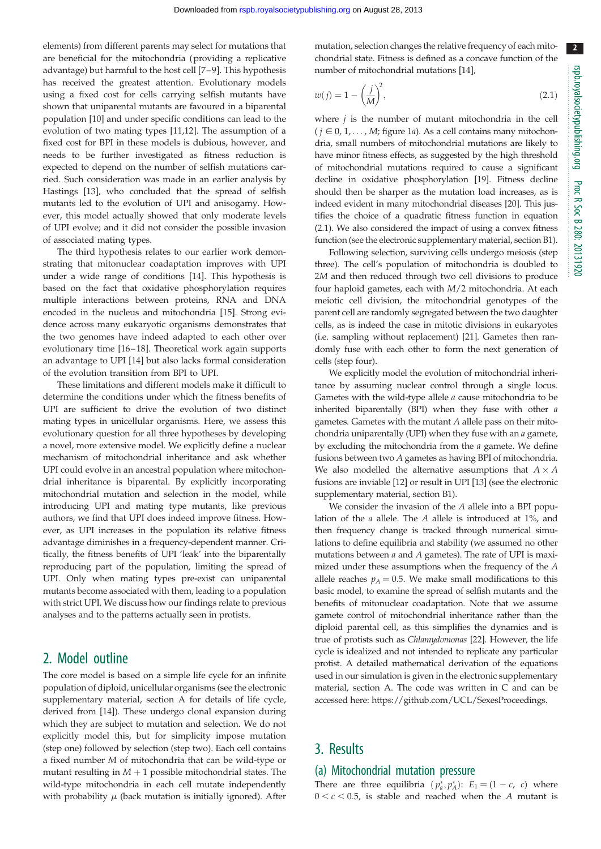elements) from different parents may select for mutations that are beneficial for the mitochondria (providing a replicative advantage) but harmful to the host cell [\[7](#page-7-0)–[9\]](#page-7-0). This hypothesis has received the greatest attention. Evolutionary models using a fixed cost for cells carrying selfish mutants have shown that uniparental mutants are favoured in a biparental population [\[10](#page-7-0)] and under specific conditions can lead to the evolution of two mating types [\[11,12\]](#page-7-0). The assumption of a fixed cost for BPI in these models is dubious, however, and needs to be further investigated as fitness reduction is expected to depend on the number of selfish mutations carried. Such consideration was made in an earlier analysis by Hastings [[13\]](#page-7-0), who concluded that the spread of selfish mutants led to the evolution of UPI and anisogamy. However, this model actually showed that only moderate levels of UPI evolve; and it did not consider the possible invasion of associated mating types.

The third hypothesis relates to our earlier work demonstrating that mitonuclear coadaptation improves with UPI under a wide range of conditions [\[14](#page-7-0)]. This hypothesis is based on the fact that oxidative phosphorylation requires multiple interactions between proteins, RNA and DNA encoded in the nucleus and mitochondria [[15\]](#page-7-0). Strong evidence across many eukaryotic organisms demonstrates that the two genomes have indeed adapted to each other over evolutionary time [[16](#page-7-0) –[18](#page-7-0)]. Theoretical work again supports an advantage to UPI [\[14](#page-7-0)] but also lacks formal consideration of the evolution transition from BPI to UPI.

These limitations and different models make it difficult to determine the conditions under which the fitness benefits of UPI are sufficient to drive the evolution of two distinct mating types in unicellular organisms. Here, we assess this evolutionary question for all three hypotheses by developing a novel, more extensive model. We explicitly define a nuclear mechanism of mitochondrial inheritance and ask whether UPI could evolve in an ancestral population where mitochondrial inheritance is biparental. By explicitly incorporating mitochondrial mutation and selection in the model, while introducing UPI and mating type mutants, like previous authors, we find that UPI does indeed improve fitness. However, as UPI increases in the population its relative fitness advantage diminishes in a frequency-dependent manner. Critically, the fitness benefits of UPI 'leak' into the biparentally reproducing part of the population, limiting the spread of UPI. Only when mating types pre-exist can uniparental mutants become associated with them, leading to a population with strict UPI. We discuss how our findings relate to previous analyses and to the patterns actually seen in protists.

#### 2. Model outline

The core model is based on a simple life cycle for an infinite population of diploid, unicellular organisms (see the electronic supplementary material, section A for details of life cycle, derived from [[14\]](#page-7-0)). These undergo clonal expansion during which they are subject to mutation and selection. We do not explicitly model this, but for simplicity impose mutation (step one) followed by selection (step two). Each cell contains a fixed number M of mitochondria that can be wild-type or mutant resulting in  $M + 1$  possible mitochondrial states. The wild-type mitochondria in each cell mutate independently with probability  $\mu$  (back mutation is initially ignored). After mutation, selection changes the relative frequency of each mitochondrial state. Fitness is defined as a concave function of the number of mitochondrial mutations [\[14](#page-7-0)],

$$
w(j) = 1 - \left(\frac{j}{M}\right)^2,\tag{2.1}
$$

where  $j$  is the number of mutant mitochondria in the cell  $(j \in 0, 1, \ldots, M;$  [figure 1](#page-3-0)a). As a cell contains many mitochondria, small numbers of mitochondrial mutations are likely to have minor fitness effects, as suggested by the high threshold of mitochondrial mutations required to cause a significant decline in oxidative phosphorylation [[19\]](#page-7-0). Fitness decline should then be sharper as the mutation load increases, as is indeed evident in many mitochondrial diseases [[20\]](#page-7-0). This justifies the choice of a quadratic fitness function in equation (2.1). We also considered the impact of using a convex fitness function (see the electronic supplementary material, section B1).

Following selection, surviving cells undergo meiosis (step three). The cell's population of mitochondria is doubled to 2M and then reduced through two cell divisions to produce four haploid gametes, each with M/2 mitochondria. At each meiotic cell division, the mitochondrial genotypes of the parent cell are randomly segregated between the two daughter cells, as is indeed the case in mitotic divisions in eukaryotes (i.e. sampling without replacement) [[21\]](#page-7-0). Gametes then randomly fuse with each other to form the next generation of cells (step four).

We explicitly model the evolution of mitochondrial inheritance by assuming nuclear control through a single locus. Gametes with the wild-type allele a cause mitochondria to be inherited biparentally (BPI) when they fuse with other a gametes. Gametes with the mutant A allele pass on their mitochondria uniparentally (UPI) when they fuse with an a gamete, by excluding the mitochondria from the  $a$  gamete. We define fusions between two A gametes as having BPI of mitochondria. We also modelled the alternative assumptions that  $A \times A$ fusions are inviable [\[12\]](#page-7-0) or result in UPI [\[13](#page-7-0)] (see the electronic supplementary material, section B1).

We consider the invasion of the A allele into a BPI population of the a allele. The A allele is introduced at 1%, and then frequency change is tracked through numerical simulations to define equilibria and stability (we assumed no other mutations between  $a$  and  $A$  gametes). The rate of UPI is maximized under these assumptions when the frequency of the A allele reaches  $p_A = 0.5$ . We make small modifications to this basic model, to examine the spread of selfish mutants and the benefits of mitonuclear coadaptation. Note that we assume gamete control of mitochondrial inheritance rather than the diploid parental cell, as this simplifies the dynamics and is true of protists such as Chlamydomonas [[22](#page-7-0)]. However, the life cycle is idealized and not intended to replicate any particular protist. A detailed mathematical derivation of the equations used in our simulation is given in the electronic supplementary material, section A. The code was written in C and can be accessed here:<https://github.com/UCL/SexesProceedings>.

## 3. Results

#### (a) Mitochondrial mutation pressure

There are three equilibria  $(p_a^*, p_A^*)$ :  $E_1 = (1 - c, c)$  where  $0 < c < 0.5$ , is stable and reached when the A mutant is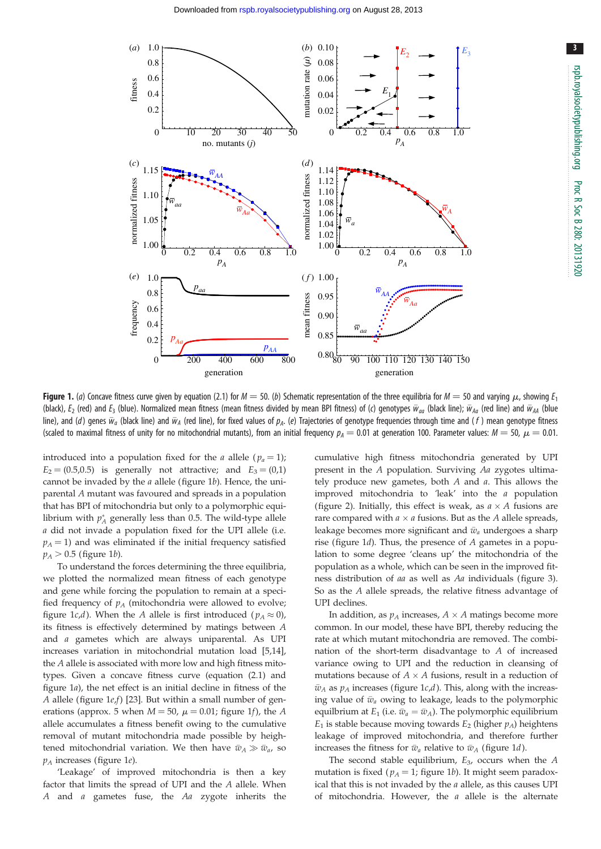<span id="page-3-0"></span>

**Figure 1.** (a) Concave fitness curve given by equation (2.1) for  $M = 50$ . (b) Schematic representation of the three equilibria for  $M = 50$  and varying  $\mu$ , showing  $E_1$ (black),  $E_2$  (red) and  $E_3$  (blue). Normalized mean fitness (mean fitness divided by mean BPI fitness) of (c) genotypes  $\bar{w}_{aa}$  (black line);  $\bar{w}_{Aa}$  (red line) and  $\bar{w}_{AA}$  (blue line), and (d) genes  $\bar{w}_a$  (black line) and  $\bar{w}_A$  (red line), for fixed values of  $p_A$ . (e) Trajectories of genotype frequencies through time and (f) mean genotype fitness (scaled to maximal fitness of unity for no mitochondrial mutants), from an initial frequency  $p_A = 0.01$  at generation 100. Parameter values:  $M = 50$ ,  $\mu = 0.01$ .

introduced into a population fixed for the *a* allele ( $p_a = 1$ );  $E_2 = (0.5,0.5)$  is generally not attractive; and  $E_3 = (0,1)$ cannot be invaded by the  $a$  allele (figure 1 $b$ ). Hence, the uniparental A mutant was favoured and spreads in a population that has BPI of mitochondria but only to a polymorphic equilibrium with  $p_A^*$  generally less than 0.5. The wild-type allele a did not invade a population fixed for the UPI allele (i.e.  $p_A = 1$ ) and was eliminated if the initial frequency satisfied  $p_A > 0.5$  (figure 1b).

To understand the forces determining the three equilibria, we plotted the normalized mean fitness of each genotype and gene while forcing the population to remain at a specified frequency of  $p_A$  (mitochondria were allowed to evolve; figure 1c,d). When the A allele is first introduced ( $p_A \approx 0$ ), its fitness is effectively determined by matings between A and a gametes which are always uniparental. As UPI increases variation in mitochondrial mutation load [[5,14](#page-7-0)], the A allele is associated with more low and high fitness mitotypes. Given a concave fitness curve (equation (2.1) and figure 1a), the net effect is an initial decline in fitness of the A allele (figure  $1e<sub>f</sub>$ ) [[23\]](#page-7-0). But within a small number of generations (approx. 5 when  $M = 50$ ,  $\mu = 0.01$ ; figure 1f), the A allele accumulates a fitness benefit owing to the cumulative removal of mutant mitochondria made possible by heightened mitochondrial variation. We then have  $\bar{w}_A \gg \bar{w}_a$ , so  $p_A$  increases (figure 1e).

'Leakage' of improved mitochondria is then a key factor that limits the spread of UPI and the A allele. When A and a gametes fuse, the Aa zygote inherits the cumulative high fitness mitochondria generated by UPI present in the A population. Surviving Aa zygotes ultimately produce new gametes, both  $A$  and  $a$ . This allows the improved mitochondria to 'leak' into the a population ([figure 2\)](#page-4-0). Initially, this effect is weak, as  $a \times A$  fusions are rare compared with  $a \times a$  fusions. But as the A allele spreads, leakage becomes more significant and  $\bar{w}_a$  undergoes a sharp rise (figure 1d). Thus, the presence of A gametes in a population to some degree 'cleans up' the mitochondria of the population as a whole, which can be seen in the improved fitness distribution of aa as well as Aa individuals [\(figure 3\)](#page-4-0). So as the A allele spreads, the relative fitness advantage of UPI declines.

In addition, as  $p_A$  increases,  $A \times A$  matings become more common. In our model, these have BPI, thereby reducing the rate at which mutant mitochondria are removed. The combination of the short-term disadvantage to A of increased variance owing to UPI and the reduction in cleansing of mutations because of  $A \times A$  fusions, result in a reduction of  $\bar{w}_A$  as  $p_A$  increases (figure 1*c*,*d*). This, along with the increasing value of  $\bar{w}_a$  owing to leakage, leads to the polymorphic equilbrium at  $E_1$  (i.e.  $\bar{w}_a = \bar{w}_A$ ). The polymorphic equilibrium  $E_1$  is stable because moving towards  $E_2$  (higher  $p_A$ ) heightens leakage of improved mitochondria, and therefore further increases the fitness for  $\bar{w}_a$  relative to  $\bar{w}_A$  (figure 1*d*).

The second stable equilibrium,  $E_3$ , occurs when the A mutation is fixed ( $p_A = 1$ ; figure 1b). It might seem paradoxical that this is not invaded by the  $a$  allele, as this causes UPI of mitochondria. However, the a allele is the alternate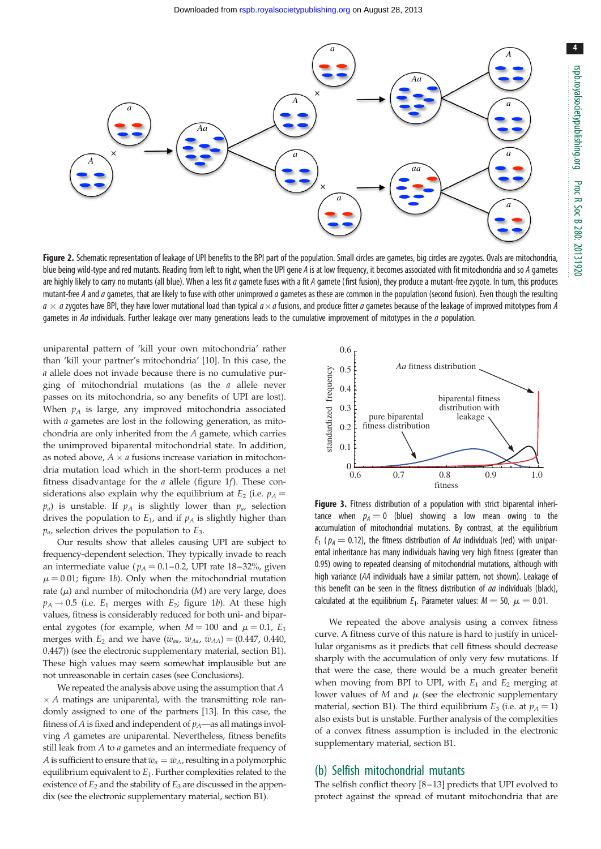<span id="page-4-0"></span>

Figure 2. Schematic representation of leakage of UPI benefits to the BPI part of the population. Small circles are gametes, big circles are zygotes. Ovals are mitochondria, blue being wild-type and red mutants. Reading from left to right, when the UPI gene A is at low frequency, it becomes associated with fit mitochondria and so A gametes are highly likely to carry no mutants (all blue). When a less fit  $a$  gamete fuses with a fit  $A$  gamete (first fusion), they produce a mutant-free zygote. In turn, this produces mutant-free A and a gametes, that are likely to fuse with other unimproved a gametes as these are common in the population (second fusion). Even though the resulting  $a \times a$  zygotes have BPI, they have lower mutational load than typical  $a \times a$  fusions, and produce fitter a gametes because of the leakage of improved mitotypes from A gametes in Aa individuals. Further leakage over many generations leads to the cumulative improvement of mitotypes in the  $a$  population.

uniparental pattern of 'kill your own mitochondria' rather than 'kill your partner's mitochondria' [\[10](#page-7-0)]. In this case, the a allele does not invade because there is no cumulative purging of mitochondrial mutations (as the a allele never passes on its mitochondria, so any benefits of UPI are lost). When  $p_A$  is large, any improved mitochondria associated with *a* gametes are lost in the following generation, as mitochondria are only inherited from the A gamete, which carries the unimproved biparental mitochondrial state. In addition, as noted above,  $A \times a$  fusions increase variation in mitochondria mutation load which in the short-term produces a net fitness disadvantage for the  $a$  allele [\(figure 1](#page-3-0)f). These considerations also explain why the equilibrium at  $E_2$  (i.e.  $p_A =$  $p_a$ ) is unstable. If  $p_A$  is slightly lower than  $p_a$ , selection drives the population to  $E_1$ , and if  $p_A$  is slightly higher than  $p_a$ , selection drives the population to  $E_3$ .

Our results show that alleles causing UPI are subject to frequency-dependent selection. They typically invade to reach an intermediate value ( $p_A = 0.1 - 0.2$ , UPI rate 18-32%, given  $\mu$  = 0.01; [figure 1](#page-3-0)b). Only when the mitochondrial mutation rate  $(\mu)$  and number of mitochondria  $(M)$  are very large, does  $p_A \rightarrow 0.5$  (i.e.  $E_1$  merges with  $E_2$ ; [figure 1](#page-3-0)b). At these high values, fitness is considerably reduced for both uni- and biparental zygotes (for example, when  $M = 100$  and  $\mu = 0.1$ ,  $E_1$ merges with  $E_2$  and we have  $(\bar{w}_{aa}, \bar{w}_{Aa}, \bar{w}_{AA}) = (0.447, 0.440,$ 0.447)) (see the electronic supplementary material, section B1). These high values may seem somewhat implausible but are not unreasonable in certain cases (see Conclusions).

We repeated the analysis above using the assumption that A  $\times$  A matings are uniparental, with the transmitting role randomly assigned to one of the partners [[13](#page-7-0)]. In this case, the fitness of A is fixed and independent of  $p_A$ —as all matings involving A gametes are uniparental. Nevertheless, fitness benefits still leak from  $A$  to  $a$  gametes and an intermediate frequency of A is sufficient to ensure that  $\bar{w}_a = \bar{w}_A$ , resulting in a polymorphic equilibrium equivalent to  $E_1$ . Further complexities related to the existence of  $E_2$  and the stability of  $E_3$  are discussed in the appendix (see the electronic supplementary material, section B1).



Figure 3. Fitness distribution of a population with strict biparental inheritance when  $p_A = 0$  (blue) showing a low mean owing to the accumulation of mitochondrial mutations. By contrast, at the equilibrium  $E_1$  ( $p_A = 0.12$ ), the fitness distribution of Aa individuals (red) with uniparental inheritance has many individuals having very high fitness (greater than 0.95) owing to repeated cleansing of mitochondrial mutations, although with high variance (AA individuals have a similar pattern, not shown). Leakage of this benefit can be seen in the fitness distribution of *aa* individuals (black), calculated at the equilibrium  $E_1$ . Parameter values:  $M = 50$ ,  $\mu = 0.01$ .

We repeated the above analysis using a convex fitness curve. A fitness curve of this nature is hard to justify in unicellular organisms as it predicts that cell fitness should decrease sharply with the accumulation of only very few mutations. If that were the case, there would be a much greater benefit when moving from BPI to UPI, with  $E_1$  and  $E_2$  merging at lower values of M and  $\mu$  (see the electronic supplementary material, section B1). The third equilibrium  $E_3$  (i.e. at  $p_A = 1$ ) also exists but is unstable. Further analysis of the complexities of a convex fitness assumption is included in the electronic supplementary material, section B1.

#### (b) Selfish mitochondrial mutants

The selfish conflict theory [[8](#page-7-0)– [13\]](#page-7-0) predicts that UPI evolved to protect against the spread of mutant mitochondria that are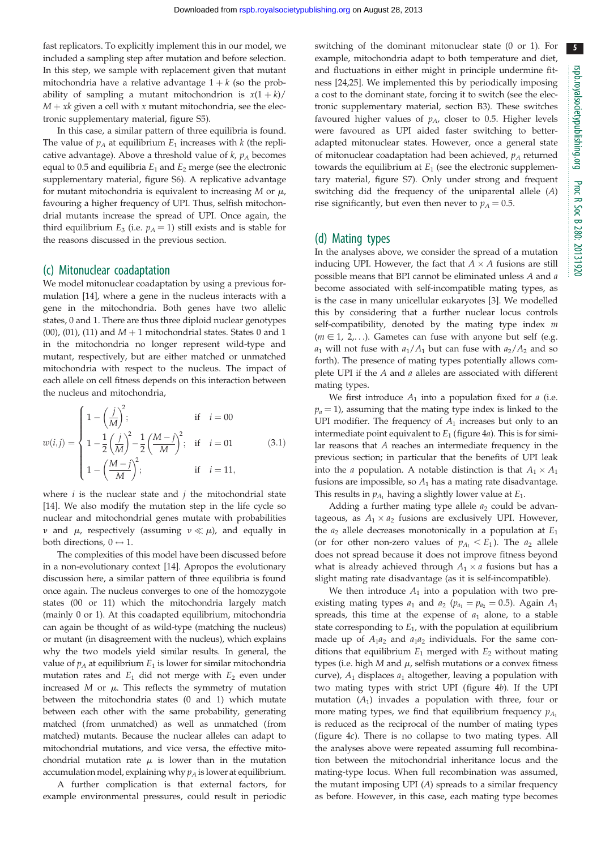5

fast replicators. To explicitly implement this in our model, we included a sampling step after mutation and before selection. In this step, we sample with replacement given that mutant mitochondria have a relative advantage  $1 + k$  (so the probability of sampling a mutant mitochondrion is  $x(1 + k)$ /  $M + xk$  given a cell with x mutant mitochondria, see the electronic supplementary material, figure S5).

In this case, a similar pattern of three equilibria is found. The value of  $p_A$  at equilibrium  $E_1$  increases with k (the replicative advantage). Above a threshold value of  $k$ ,  $p_A$  becomes equal to 0.5 and equilibria  $E_1$  and  $E_2$  merge (see the electronic supplementary material, figure S6). A replicative advantage for mutant mitochondria is equivalent to increasing  $M$  or  $\mu$ , favouring a higher frequency of UPI. Thus, selfish mitochondrial mutants increase the spread of UPI. Once again, the third equilibrium  $E_3$  (i.e.  $p_A = 1$ ) still exists and is stable for the reasons discussed in the previous section.

#### (c) Mitonuclear coadaptation

We model mitonuclear coadaptation by using a previous formulation [\[14](#page-7-0)], where a gene in the nucleus interacts with a gene in the mitochondria. Both genes have two allelic states, 0 and 1. There are thus three diploid nuclear genotypes (00), (01), (11) and  $M + 1$  mitochondrial states. States 0 and 1 in the mitochondria no longer represent wild-type and mutant, respectively, but are either matched or unmatched mitochondria with respect to the nucleus. The impact of each allele on cell fitness depends on this interaction between the nucleus and mitochondria,

$$
w(i,j) = \begin{cases} 1 - \left(\frac{j}{M}\right)^2; & \text{if } i = 00\\ 1 - \frac{1}{2}\left(\frac{j}{M}\right)^2 - \frac{1}{2}\left(\frac{M-j}{M}\right)^2; & \text{if } i = 01\\ 1 - \left(\frac{M-j}{M}\right)^2; & \text{if } i = 11, \end{cases}
$$
(3.1)

where  $i$  is the nuclear state and  $j$  the mitochondrial state [\[14](#page-7-0)]. We also modify the mutation step in the life cycle so nuclear and mitochondrial genes mutate with probabilities  $\nu$  and  $\mu$ , respectively (assuming  $\nu \ll \mu$ ), and equally in both directions,  $0 \leftrightarrow 1$ .

The complexities of this model have been discussed before in a non-evolutionary context [\[14](#page-7-0)]. Apropos the evolutionary discussion here, a similar pattern of three equilibria is found once again. The nucleus converges to one of the homozygote states (00 or 11) which the mitochondria largely match (mainly 0 or 1). At this coadapted equilibrium, mitochondria can again be thought of as wild-type (matching the nucleus) or mutant (in disagreement with the nucleus), which explains why the two models yield similar results. In general, the value of  $p_A$  at equilibrium  $E_1$  is lower for similar mitochondria mutation rates and  $E_1$  did not merge with  $E_2$  even under increased  $M$  or  $\mu$ . This reflects the symmetry of mutation between the mitochondria states (0 and 1) which mutate between each other with the same probability, generating matched (from unmatched) as well as unmatched (from matched) mutants. Because the nuclear alleles can adapt to mitochondrial mutations, and vice versa, the effective mitochondrial mutation rate  $\mu$  is lower than in the mutation accumulation model, explaining why  $p_A$  is lower at equilibrium.

A further complication is that external factors, for example environmental pressures, could result in periodic switching of the dominant mitonuclear state (0 or 1). For example, mitochondria adapt to both temperature and diet, and fluctuations in either might in principle undermine fitness [[24,25](#page-7-0)]. We implemented this by periodically imposing a cost to the dominant state, forcing it to switch (see the electronic supplementary material, section B3). These switches favoured higher values of  $p_A$ , closer to 0.5. Higher levels were favoured as UPI aided faster switching to betteradapted mitonuclear states. However, once a general state of mitonuclear coadaptation had been achieved,  $p_A$  returned towards the equilibrium at  $E_1$  (see the electronic supplementary material, figure S7). Only under strong and frequent switching did the frequency of the uniparental allele (A) rise significantly, but even then never to  $p_A = 0.5$ .

#### (d) Mating types

In the analyses above, we consider the spread of a mutation inducing UPI. However, the fact that  $A \times A$  fusions are still possible means that BPI cannot be eliminated unless A and a become associated with self-incompatible mating types, as is the case in many unicellular eukaryotes [[3](#page-7-0)]. We modelled this by considering that a further nuclear locus controls self-compatibility, denoted by the mating type index  $m$  $(m \in 1, 2,...)$ . Gametes can fuse with anyone but self (e.g.  $a_1$  will not fuse with  $a_1/A_1$  but can fuse with  $a_2/A_2$  and so forth). The presence of mating types potentially allows complete UPI if the A and a alleles are associated with different mating types.

We first introduce  $A_1$  into a population fixed for  $a$  (i.e.  $p_a = 1$ ), assuming that the mating type index is linked to the UPI modifier. The frequency of  $A_1$  increases but only to an intermediate point equivalent to  $E_1$  [\(figure 4](#page-6-0)a). This is for similar reasons that A reaches an intermediate frequency in the previous section; in particular that the benefits of UPI leak into the *a* population. A notable distinction is that  $A_1 \times A_1$ fusions are impossible, so  $A_1$  has a mating rate disadvantage. This results in  $p_{A_1}$  having a slightly lower value at  $E_1$ .

Adding a further mating type allele  $a_2$  could be advantageous, as  $A_1 \times a_2$  fusions are exclusively UPI. However, the  $a_2$  allele decreases monotonically in a population at  $E_1$ (or for other non-zero values of  $p_{A_1} < E_1$ ). The  $a_2$  allele does not spread because it does not improve fitness beyond what is already achieved through  $A_1 \times a$  fusions but has a slight mating rate disadvantage (as it is self-incompatible).

We then introduce  $A_1$  into a population with two preexisting mating types  $a_1$  and  $a_2$  ( $p_{a_1} = p_{a_2} = 0.5$ ). Again  $A_1$ spreads, this time at the expense of  $a_1$  alone, to a stable state corresponding to  $E_1$ , with the population at equilibrium made up of  $A_1a_2$  and  $a_1a_2$  individuals. For the same conditions that equilibrium  $E_1$  merged with  $E_2$  without mating types (i.e. high  $M$  and  $\mu$ , selfish mutations or a convex fitness curve),  $A_1$  displaces  $a_1$  altogether, leaving a population with two mating types with strict UPI ([figure 4](#page-6-0)b). If the UPI mutation  $(A_1)$  invades a population with three, four or more mating types, we find that equilibrium frequency  $p_{A_1}$ is reduced as the reciprocal of the number of mating types ([figure 4](#page-6-0)c). There is no collapse to two mating types. All the analyses above were repeated assuming full recombination between the mitochondrial inheritance locus and the mating-type locus. When full recombination was assumed, the mutant imposing UPI (A) spreads to a similar frequency as before. However, in this case, each mating type becomes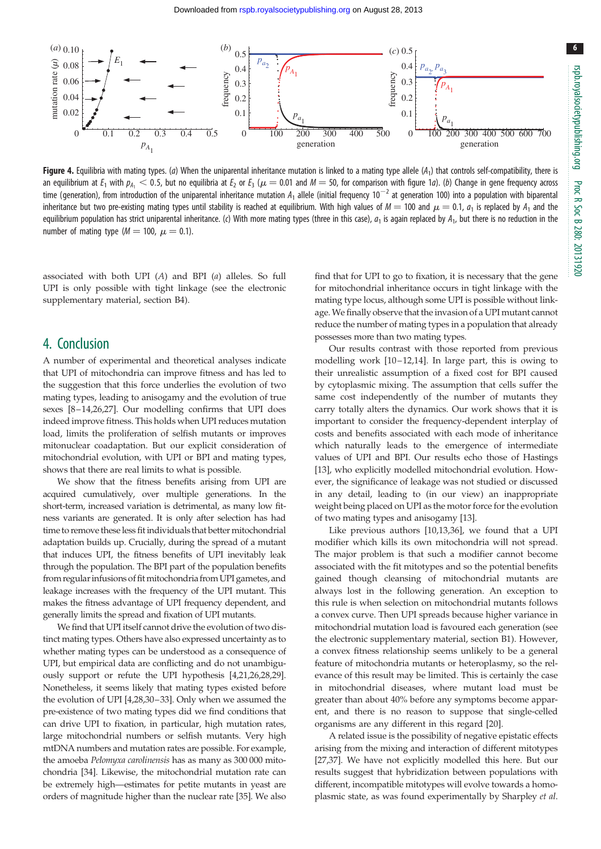<span id="page-6-0"></span>

Figure 4. Equilibria with mating types. (a) When the uniparental inheritance mutation is linked to a mating type allele  $(A_1)$  that controls self-compatibility, there is an equilibrium at  $E_1$  with  $p_{A_1} < 0.5$ , but no equilibria at  $E_2$  or  $E_3$  ( $\mu = 0.01$  and  $M = 50$ , for comparison with [figure 1](#page-3-0)a). (b) Change in gene frequency across time (generation), from introduction of the uniparental inheritance mutation  $A_1$  allele (initial frequency 10<sup>-2</sup> at generation 100) into a population with biparental inheritance but two pre-existing mating types until stability is reached at equilibrium. With high values of  $M = 100$  and  $\mu = 0.1$ ,  $a_1$  is replaced by  $A_1$  and the equilibrium population has strict uniparental inheritance. (c) With more mating types (three in this case),  $a<sub>1</sub>$  is again replaced by  $A<sub>1</sub>$ , but there is no reduction in the number of mating type ( $M = 100$ ,  $\mu = 0.1$ ).

associated with both UPI  $(A)$  and BPI  $(a)$  alleles. So full UPI is only possible with tight linkage (see the electronic supplementary material, section B4).

#### 4. Conclusion

A number of experimental and theoretical analyses indicate that UPI of mitochondria can improve fitness and has led to the suggestion that this force underlies the evolution of two mating types, leading to anisogamy and the evolution of true sexes [\[8](#page-7-0)–[14,26](#page-7-0)[,27](#page-8-0)]. Our modelling confirms that UPI does indeed improve fitness. This holds when UPI reduces mutation load, limits the proliferation of selfish mutants or improves mitonuclear coadaptation. But our explicit consideration of mitochondrial evolution, with UPI or BPI and mating types, shows that there are real limits to what is possible.

We show that the fitness benefits arising from UPI are acquired cumulatively, over multiple generations. In the short-term, increased variation is detrimental, as many low fitness variants are generated. It is only after selection has had time to remove these less fit individuals that better mitochondrial adaptation builds up. Crucially, during the spread of a mutant that induces UPI, the fitness benefits of UPI inevitably leak through the population. The BPI part of the population benefits from regular infusions of fit mitochondria from UPI gametes, and leakage increases with the frequency of the UPI mutant. This makes the fitness advantage of UPI frequency dependent, and generally limits the spread and fixation of UPI mutants.

We find that UPI itself cannot drive the evolution of two distinct mating types. Others have also expressed uncertainty as to whether mating types can be understood as a consequence of UPI, but empirical data are conflicting and do not unambiguously support or refute the UPI hypothesis [\[4](#page-7-0),[21](#page-7-0),[26](#page-7-0),[28](#page-8-0),[29](#page-8-0)]. Nonetheless, it seems likely that mating types existed before the evolution of UPI [\[4,](#page-7-0)[28,30](#page-8-0)–[33\]](#page-8-0). Only when we assumed the pre-existence of two mating types did we find conditions that can drive UPI to fixation, in particular, high mutation rates, large mitochondrial numbers or selfish mutants. Very high mtDNA numbers and mutation rates are possible. For example, the amoeba Pelomyxa carolinensis has as many as 300 000 mitochondria [\[34\]](#page-8-0). Likewise, the mitochondrial mutation rate can be extremely high—estimates for petite mutants in yeast are orders of magnitude higher than the nuclear rate [[35](#page-8-0)]. We also

find that for UPI to go to fixation, it is necessary that the gene for mitochondrial inheritance occurs in tight linkage with the mating type locus, although some UPI is possible without linkage. We finally observe that the invasion of a UPI mutant cannot reduce the number of mating types in a population that already possesses more than two mating types.

Our results contrast with those reported from previous modelling work  $[10-12,14]$  $[10-12,14]$  $[10-12,14]$  $[10-12,14]$  $[10-12,14]$ . In large part, this is owing to their unrealistic assumption of a fixed cost for BPI caused by cytoplasmic mixing. The assumption that cells suffer the same cost independently of the number of mutants they carry totally alters the dynamics. Our work shows that it is important to consider the frequency-dependent interplay of costs and benefits associated with each mode of inheritance which naturally leads to the emergence of intermediate values of UPI and BPI. Our results echo those of Hastings [[13\]](#page-7-0), who explicitly modelled mitochondrial evolution. However, the significance of leakage was not studied or discussed in any detail, leading to (in our view) an inappropriate weight being placed on UPI as the motor force for the evolution of two mating types and anisogamy [[13\]](#page-7-0).

Like previous authors [[10,13,](#page-7-0)[36](#page-8-0)], we found that a UPI modifier which kills its own mitochondria will not spread. The major problem is that such a modifier cannot become associated with the fit mitotypes and so the potential benefits gained though cleansing of mitochondrial mutants are always lost in the following generation. An exception to this rule is when selection on mitochondrial mutants follows a convex curve. Then UPI spreads because higher variance in mitochondrial mutation load is favoured each generation (see the electronic supplementary material, section B1). However, a convex fitness relationship seems unlikely to be a general feature of mitochondria mutants or heteroplasmy, so the relevance of this result may be limited. This is certainly the case in mitochondrial diseases, where mutant load must be greater than about 40% before any symptoms become apparent, and there is no reason to suppose that single-celled organisms are any different in this regard [[20\]](#page-7-0). **EVALUAT THE CONSERVATIVE (1)** and  $\frac{1}{2}$  (1) and  $\frac{1}{2}$  (1) and  $\frac{1}{2}$  (1) and  $\frac{1}{2}$  (1) and  $\frac{1}{2}$  ( $\frac{1}{2}$  ( $\frac{1}{2}$  ( $\frac{1}{2}$  ( $\frac{1}{2}$  ( $\frac{1}{2}$  ( $\frac{1}{2}$  ( $\frac{1}{2}$  ( $\frac{1}{2}$  ( $\frac{1}{2}$  ( $\frac{$ 

A related issue is the possibility of negative epistatic effects arising from the mixing and interaction of different mitotypes [[27,37\]](#page-8-0). We have not explicitly modelled this here. But our results suggest that hybridization between populations with different, incompatible mitotypes will evolve towards a homo6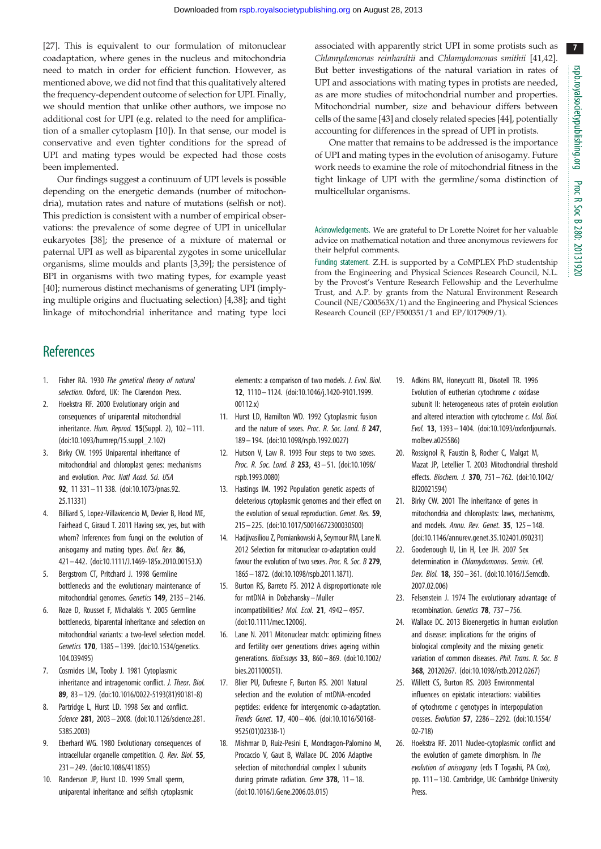7

<span id="page-7-0"></span>[\[27](#page-8-0)]. This is equivalent to our formulation of mitonuclear coadaptation, where genes in the nucleus and mitochondria need to match in order for efficient function. However, as mentioned above, we did not find that this qualitatively altered the frequency-dependent outcome of selection for UPI. Finally, we should mention that unlike other authors, we impose no additional cost for UPI (e.g. related to the need for amplification of a smaller cytoplasm [10]). In that sense, our model is conservative and even tighter conditions for the spread of UPI and mating types would be expected had those costs been implemented.

Our findings suggest a continuum of UPI levels is possible depending on the energetic demands (number of mitochondria), mutation rates and nature of mutations (selfish or not). This prediction is consistent with a number of empirical observations: the prevalence of some degree of UPI in unicellular eukaryotes [\[38](#page-8-0)]; the presence of a mixture of maternal or paternal UPI as well as biparental zygotes in some unicellular organisms, slime moulds and plants [3[,39\]](#page-8-0); the persistence of BPI in organisms with two mating types, for example yeast [\[40](#page-8-0)]; numerous distinct mechanisms of generating UPI (implying multiple origins and fluctuating selection) [4,[38](#page-8-0)]; and tight linkage of mitochondrial inheritance and mating type loci

associated with apparently strict UPI in some protists such as Chlamydomonas reinhardtii and Chlamydomonas smithii [[41,42\]](#page-8-0). But better investigations of the natural variation in rates of UPI and associations with mating types in protists are needed, as are more studies of mitochondrial number and properties. Mitochondrial number, size and behaviour differs between cells of the same [[43\]](#page-8-0) and closely related species [[44](#page-8-0)], potentially accounting for differences in the spread of UPI in protists.

One matter that remains to be addressed is the importance of UPI and mating types in the evolution of anisogamy. Future work needs to examine the role of mitochondrial fitness in the tight linkage of UPI with the germline/soma distinction of multicellular organisms.

Acknowledgements. We are grateful to Dr Lorette Noiret for her valuable advice on mathematical notation and three anonymous reviewers for their helpful comments.

Funding statement. Z.H. is supported by a CoMPLEX PhD studentship from the Engineering and Physical Sciences Research Council, N.L. by the Provost's Venture Research Fellowship and the Leverhulme Trust, and A.P. by grants from the Natural Environment Research Council (NE/G00563X/1) and the Engineering and Physical Sciences Research Council (EP/F500351/1 and EP/I017909/1).

## **References**

- 1. Fisher RA. 1930 The genetical theory of natural selection. Oxford, UK: The Clarendon Press.
- 2. Hoekstra RF. 2000 Evolutionary origin and consequences of uniparental mitochondrial inheritance. Hum. Reprod.  $15$ (Suppl. 2),  $102 - 111$ . [\(doi:10.1093/humrep/15.suppl\\_2.102\)](http://dx.doi.org/10.1093/humrep/15.suppl_2.102)
- 3. Birky CW. 1995 Uniparental inheritance of mitochondrial and chloroplast genes: mechanisms and evolution. Proc. Natl Acad. Sci. USA 92, 11 331– 11 338. ([doi:10.1073/pnas.92.](http://dx.doi.org/10.1073/pnas.92.25.11331) [25.11331](http://dx.doi.org/10.1073/pnas.92.25.11331))
- 4. Billiard S, Lopez-Villavicencio M, Devier B, Hood ME, Fairhead C, Giraud T. 2011 Having sex, yes, but with whom? Inferences from fungi on the evolution of anisogamy and mating types. Biol. Rev. 86, 421– 442. ([doi:10.1111/J.1469-185x.2010.00153.X](http://dx.doi.org/10.1111/J.1469-185x.2010.00153.X))
- 5. Bergstrom CT, Pritchard J. 1998 Germline bottlenecks and the evolutionary maintenance of mitochondrial genomes. Genetics 149, 2135 – 2146.
- 6. Roze D, Rousset F, Michalakis Y. 2005 Germline bottlenecks, biparental inheritance and selection on mitochondrial variants: a two-level selection model. Genetics 170, 1385– 1399. [\(doi:10.1534/genetics.](http://dx.doi.org/10.1534/genetics.104.039495) [104.039495](http://dx.doi.org/10.1534/genetics.104.039495))
- 7. Cosmides LM, Tooby J. 1981 Cytoplasmic inheritance and intragenomic conflict. J. Theor. Biol. 89, 83 – 129. [\(doi:10.1016/0022-5193\(81\)90181-8](http://dx.doi.org/10.1016/0022-5193(81)90181-8))
- 8. Partridge L, Hurst LD. 1998 Sex and conflict. Science 281, 2003 - 2008. ([doi:10.1126/science.281.](http://dx.doi.org/10.1126/science.281.5385.2003) [5385.2003\)](http://dx.doi.org/10.1126/science.281.5385.2003)
- 9. Eberhard WG. 1980 Evolutionary consequences of intracellular organelle competition. Q. Rev. Biol. 55, 231– 249. ([doi:10.1086/411855](http://dx.doi.org/10.1086/411855))
- 10. Randerson JP, Hurst LD. 1999 Small sperm, uniparental inheritance and selfish cytoplasmic

elements: a comparison of two models. J. Evol. Biol. 12, 1110 – 1124. [\(doi:10.1046/j.1420-9101.1999.](http://dx.doi.org/10.1046/j.1420-9101.1999.00112.x) [00112.x](http://dx.doi.org/10.1046/j.1420-9101.1999.00112.x))

- 11. Hurst LD, Hamilton WD. 1992 Cytoplasmic fusion and the nature of sexes. Proc. R. Soc. Lond. B 247, 189 – 194. [\(doi:10.1098/rspb.1992.0027](http://dx.doi.org/10.1098/rspb.1992.0027))
- 12. Hutson V, Law R. 1993 Four steps to two sexes. Proc. R. Soc. Lond. B 253, 43-51. ([doi:10.1098/](http://dx.doi.org/10.1098/rspb.1993.0080) [rspb.1993.0080](http://dx.doi.org/10.1098/rspb.1993.0080))
- 13. Hastings IM. 1992 Population genetic aspects of deleterious cytoplasmic genomes and their effect on the evolution of sexual reproduction. Genet. Res. 59, 215 – 225. [\(doi:10.1017/S0016672300030500](http://dx.doi.org/10.1017/S0016672300030500))
- 14. Hadjivasiliou Z, Pomiankowski A, Seymour RM, Lane N. 2012 Selection for mitonuclear co-adaptation could favour the evolution of two sexes. Proc. R. Soc. B 279, 1865–1872. ([doi:10.1098/rspb.2011.1871](http://dx.doi.org/10.1098/rspb.2011.1871)).
- 15. Burton RS, Barreto FS. 2012 A disproportionate role for mtDNA in Dobzhansky –Muller incompatibilities? Mol. Ecol. 21, 4942 – 4957. [\(doi:10.1111/mec.12006\)](http://dx.doi.org/10.1111/mec.12006).
- 16. Lane N. 2011 Mitonuclear match: optimizing fitness and fertility over generations drives ageing within generations. BioEssays 33, 860 – 869. [\(doi:10.1002/](http://dx.doi.org/10.1002/bies.201100051) [bies.201100051\)](http://dx.doi.org/10.1002/bies.201100051).
- 17. Blier PU, Dufresne F, Burton RS. 2001 Natural selection and the evolution of mtDNA-encoded peptides: evidence for intergenomic co-adaptation. Trends Genet. 17, 400 – 406. ([doi:10.1016/S0168-](http://dx.doi.org/10.1016/S0168-9525(01)02338-1) [9525\(01\)02338-1](http://dx.doi.org/10.1016/S0168-9525(01)02338-1))
- 18. Mishmar D, Ruiz-Pesini E, Mondragon-Palomino M, Procaccio V, Gaut B, Wallace DC. 2006 Adaptive selection of mitochondrial complex I subunits during primate radiation. Gene  $378$ ,  $11-18$ . [\(doi:10.1016/J.Gene.2006.03.015\)](http://dx.doi.org/10.1016/J.Gene.2006.03.015)
- 19. Adkins RM, Honeycutt RL, Disotell TR. 1996 Evolution of eutherian cytochrome c oxidase subunit II: heterogeneous rates of protein evolution and altered interaction with cytochrome c. Mol. Biol. Evol. 13, 1393 – 1404. ([doi:10.1093/oxfordjournals.](http://dx.doi.org/10.1093/oxfordjournals.molbev.a025586) [molbev.a025586](http://dx.doi.org/10.1093/oxfordjournals.molbev.a025586))
- 20. Rossignol R, Faustin B, Rocher C, Malgat M, Mazat JP, Letellier T. 2003 Mitochondrial threshold effects. Biochem. J. 370, 751– 762. ([doi:10.1042/](http://dx.doi.org/10.1042/BJ20021594) [BJ20021594\)](http://dx.doi.org/10.1042/BJ20021594)
- 21. Birky CW. 2001 The inheritance of genes in mitochondria and chloroplasts: laws, mechanisms, and models. Annu. Rev. Genet. 35, 125 – 148. ([doi:10.1146/annurev.genet.35.102401.090231](http://dx.doi.org/10.1146/annurev.genet.35.102401.090231))
- 22. Goodenough U, Lin H, Lee JH. 2007 Sex determination in Chlamydomonas. Semin. Cell. Dev. Biol. 18, 350– 361. ([doi:10.1016/J.Semcdb.](http://dx.doi.org/10.1016/J.Semcdb.2007.02.006) [2007.02.006](http://dx.doi.org/10.1016/J.Semcdb.2007.02.006))
- 23. Felsenstein J. 1974 The evolutionary advantage of recombination. Genetics 78, 737– 756.
- 24. Wallace DC. 2013 Bioenergetics in human evolution and disease: implications for the origins of biological complexity and the missing genetic variation of common diseases. Phil. Trans. R. Soc. B 368, 20120267. ([doi:10.1098/rstb.2012.0267\)](http://dx.doi.org/10.1098/rstb.2012.0267)
- 25. Willett CS, Burton RS. 2003 Environmental influences on epistatic interactions: viabilities of cytochrome c genotypes in interpopulation crosses. Evolution 57, 2286– 2292. [\(doi:10.1554/](http://dx.doi.org/10.1554/02-718) [02-718](http://dx.doi.org/10.1554/02-718))
- 26. Hoekstra RF. 2011 Nucleo-cytoplasmic conflict and the evolution of gamete dimorphism. In The evolution of anisogamy (eds T Togashi, PA Cox), pp. 111– 130. Cambridge, UK: Cambridge University Press.